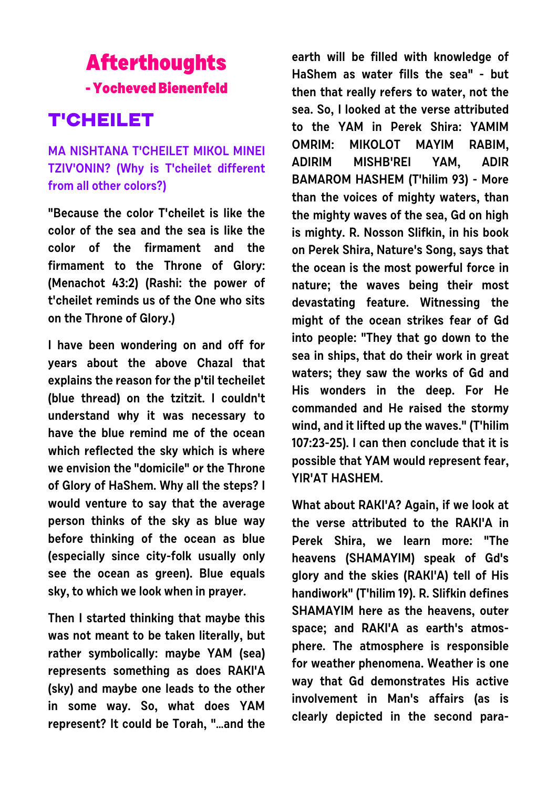## **Afterthoughts - Yocheved Bienenfeld**

## **T'CHEILET**

## **MA NISHTANA T'CHEILET MIKOL MINEI TZIV'ONIN? (Why is T'cheilet different from all other colors?)**

**"Because the color T'cheilet is like the color of the sea and the sea is like the color of the firmament and the firmament to the Throne of Glory: (Menachot 43:2) (Rashi: the power of t'cheilet reminds us of the One who sits on the Throne of Glory.)**

**I have been wondering on and off for years about the above Chazal that explains the reason for the p'til techeilet (blue thread) on the tzitzit. I couldn't understand why it was necessary to have the blue remind me of the ocean which reflected the sky which is where we envision the "domicile" or the Throne of Glory of HaShem. Why all the steps? I would venture to say that the average person thinks of the sky as blue way before thinking of the ocean as blue (especially since city-folk usually only see the ocean as green). Blue equals sky, to which we look when in prayer.**

**Then I started thinking that maybe this was not meant to be taken literally, but rather symbolically: maybe YAM (sea) represents something as does RAKI'A (sky) and maybe one leads to the other in some way. So, what does YAM represent? It could be Torah, "…and the**

**earth will be filled with knowledge of HaShem as water fills the sea" - but then that really refers to water, not the sea. So, I looked at the verse attributed to the YAM in Perek Shira: YAMIM OMRIM: MIKOLOT MAYIM RABIM, ADIRIM MISHB'REI YAM, ADIR BAMAROM HASHEM (T'hilim 93) - More than the voices of mighty waters, than the mighty waves of the sea, Gd on high is mighty. R. Nosson Slifkin, in his book on Perek Shira, Nature's Song, says that the ocean is the most powerful force in nature; the waves being their most devastating feature. Witnessing the might of the ocean strikes fear of Gd into people: "They that go down to the sea in ships, that do their work in great waters; they saw the works of Gd and His wonders in the deep. For He commanded and He raised the stormy wind, and it lifted up the waves." (T'hilim 107:23-25). I can then conclude that it is possible that YAM would represent fear, YIR'AT HASHEM.**

**What about RAKI'A? Again, if we look at the verse attributed to the RAKI'A in Perek Shira, we learn more: "The heavens (SHAMAYIM) speak of Gd's glory and the skies (RAKI'A) tell of His handiwork" (T'hilim 19). R. Slifkin defines SHAMAYIM here as the heavens, outer space; and RAKI'A as earth's atmosphere. The atmosphere is responsible for weather phenomena. Weather is one way that Gd demonstrates His active involvement in Man's affairs (as is clearly depicted in the second para-**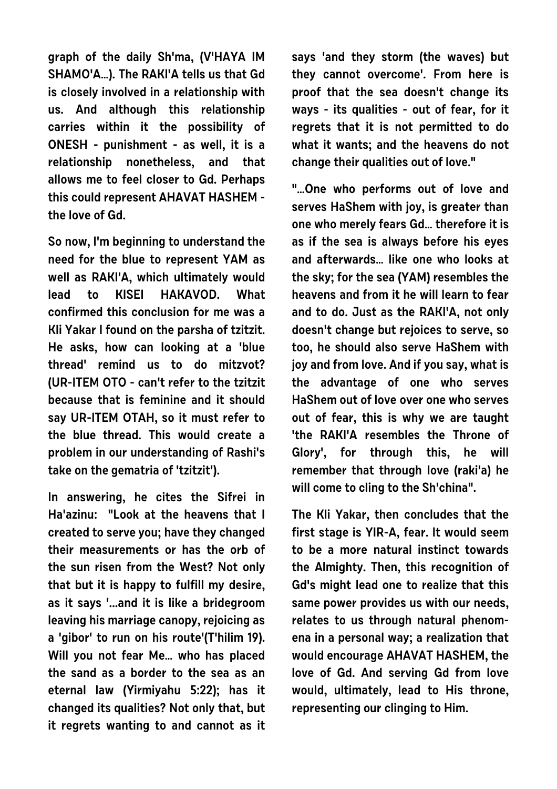**graph of the daily Sh'ma, (V'HAYA IM SHAMO'A…). The RAKI'A tells us that Gd is closely involved in a relationship with us. And although this relationship carries within it the possibility of ONESH - punishment - as well, it is a relationship nonetheless, and that allows me to feel closer to Gd. Perhaps this could represent AHAVAT HASHEM the love of Gd.**

**So now, I'm beginning to understand the need for the blue to represent YAM as well as RAKI'A, which ultimately would lead to KISEI HAKAVOD. What confirmed this conclusion for me was a Kli Yakar I found on the parsha of tzitzit. He asks, how can looking at a 'blue thread' remind us to do mitzvot? (UR-ITEM OTO - can't refer to the tzitzit because that is feminine and it should say UR-ITEM OTAH, so it must refer to the blue thread. This would create a problem in our understanding of Rashi's take on the gematria of 'tzitzit').**

**In answering, he cites the Sifrei in Ha'azinu: "Look at the heavens that I created to serve you; have they changed their measurements or has the orb of the sun risen from the West? Not only that but it is happy to fulfill my desire, as it says '...and it is like a bridegroom leaving his marriage canopy, rejoicing as a 'gibor' to run on his route'(T'hilim 19). Will you not fear Me… who has placed the sand as a border to the sea as an eternal law (Yirmiyahu 5:22); has it changed its qualities? Not only that, but it regrets wanting to and cannot as it** **says 'and they storm (the waves) but they cannot overcome'. From here is proof that the sea doesn't change its ways - its qualities - out of fear, for it regrets that it is not permitted to do what it wants; and the heavens do not change their qualities out of love."**

**"…One who performs out of love and serves HaShem with joy, is greater than one who merely fears Gd… therefore it is as if the sea is always before his eyes and afterwards… like one who looks at the sky; for the sea (YAM) resembles the heavens and from it he will learn to fear and to do. Just as the RAKI'A, not only doesn't change but rejoices to serve, so too, he should also serve HaShem with joy and from love. And if you say, what is the advantage of one who serves HaShem out of love over one who serves out of fear, this is why we are taught 'the RAKI'A resembles the Throne of Glory', for through this, he will remember that through love (raki'a) he will come to cling to the Sh'china".**

**The Kli Yakar, then concludes that the first stage is YIR-A, fear. It would seem to be a more natural instinct towards the Almighty. Then, this recognition of Gd's might lead one to realize that this same power provides us with our needs, relates to us through natural phenomena in a personal way; a realization that would encourage AHAVAT HASHEM, the love of Gd. And serving Gd from love would, ultimately, lead to His throne, representing our clinging to Him.**